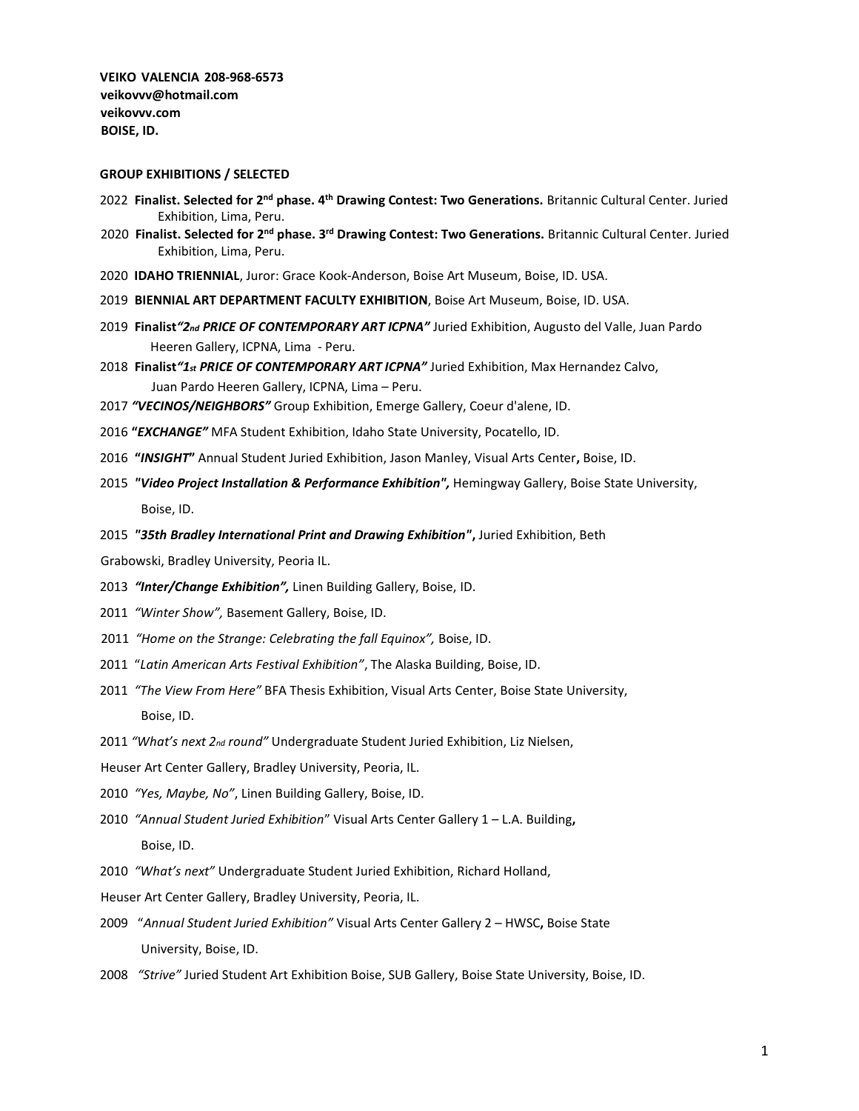**VEIKO VALENCIA 208-968-6573 veikovvv@hotmail.com veikovvv.com BOISE, ID.** 

#### **GROUP EXHIBITIONS / SELECTED**

- 2022 **Finalist. Selected for 2nd phase. 4th Drawing Contest: Two Generations.** Britannic Cultural Center. Juried Exhibition, Lima, Peru.
- 2020 Finalist. Selected for 2<sup>nd</sup> phase. 3<sup>rd</sup> Drawing Contest: Two Generations. Britannic Cultural Center. Juried Exhibition, Lima, Peru.
- 2020 **IDAHO TRIENNIAL**, Juror: Grace Kook-Anderson, Boise Art Museum, Boise, ID. USA.
- 2019 **BIENNIAL ART DEPARTMENT FACULTY EXHIBITION**, Boise Art Museum, Boise, ID. USA.
- 2019 **Finalist***"2nd PRICE OF CONTEMPORARY ART ICPNA"* Juried Exhibition, Augusto del Valle, Juan Pardo Heeren Gallery, ICPNA, Lima - Peru.
- 2018 **Finalist***"1st PRICE OF CONTEMPORARY ART ICPNA"* Juried Exhibition, Max Hernandez Calvo, Juan Pardo Heeren Gallery, ICPNA, Lima – Peru.
- 2017 *"VECINOS/NEIGHBORS"* Group Exhibition, Emerge Gallery, Coeur d'alene, ID.
- 2016 **"***EXCHANGE"* MFA Student Exhibition, Idaho State University, Pocatello, ID.
- 2016 **"***INSIGHT***"** Annual Student Juried Exhibition, Jason Manley, Visual Arts Center**,** Boise, ID.
- 2015*"Video Project Installation & Performance Exhibition",* Hemingway Gallery, Boise State University, Boise, ID.
- 2015*"35th Bradley International Print and Drawing Exhibition"***,** Juried Exhibition, Beth

Grabowski, Bradley University, Peoria IL.

- 2013 *"Inter/Change Exhibition",* Linen Building Gallery, Boise, ID.
- 2011 *"Winter Show",* Basement Gallery, Boise, ID.
- 2011 *"Home on the Strange: Celebrating the fall Equinox",* Boise, ID.
- 2011 "*Latin American Arts Festival Exhibition"*, The Alaska Building, Boise, ID.
- 2011 *"The View From Here"* BFA Thesis Exhibition, Visual Arts Center, Boise State University, Boise, ID.
- 2011 *"What's next 2nd round"* Undergraduate Student Juried Exhibition, Liz Nielsen,
- Heuser Art Center Gallery, Bradley University, Peoria, IL.
- 2010 *"Yes, Maybe, No"*, Linen Building Gallery, Boise, ID.
- 2010 *"Annual Student Juried Exhibition*" Visual Arts Center Gallery 1 L.A. Building**,** Boise, ID.
- 2010 *"What's next"* Undergraduate Student Juried Exhibition, Richard Holland,
- Heuser Art Center Gallery, Bradley University, Peoria, IL.
- 2009 "*Annual Student Juried Exhibition"* Visual Arts Center Gallery 2 HWSC**,** Boise State University, Boise, ID.
- 2008 *"Strive"* Juried Student Art Exhibition Boise, SUB Gallery, Boise State University, Boise, ID.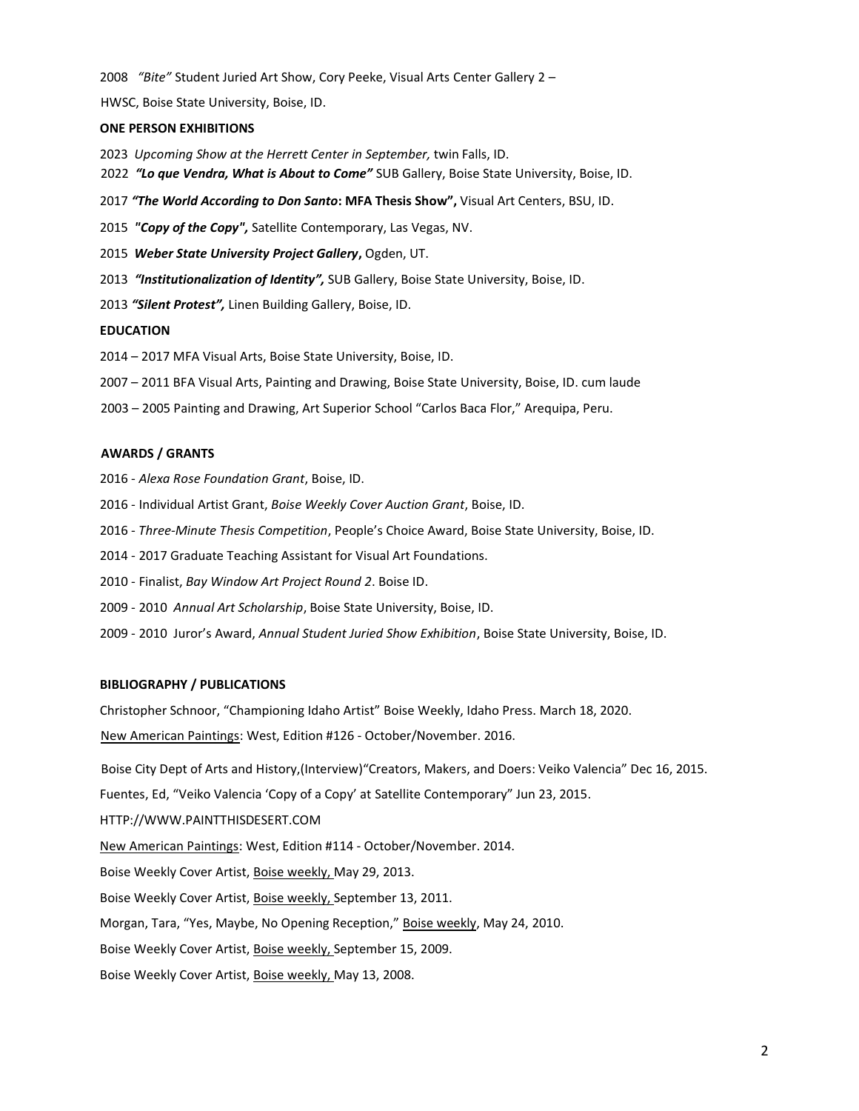2008 *"Bite"* Student Juried Art Show, Cory Peeke, Visual Arts Center Gallery 2 –

HWSC, Boise State University, Boise, ID.

## **ONE PERSON EXHIBITIONS**

- 2023 *Upcoming Show at the Herrett Center in September,* twin Falls, ID.
- 2022 *"Lo que Vendra, What is About to Come"* SUB Gallery, Boise State University, Boise, ID.
- 2017 *"The World According to Don Santo***: MFA Thesis Show",** Visual Art Centers, BSU, ID.
- 2015*"Copy of the Copy",* Satellite Contemporary, Las Vegas, NV.
- 2015 *Weber State University Project Gallery***,** Ogden, UT.
- 2013 *"Institutionalization of Identity",* SUB Gallery, Boise State University, Boise, ID.
- 2013 *"Silent Protest",* Linen Building Gallery, Boise, ID.

## **EDUCATION**

2014 – 2017 MFA Visual Arts, Boise State University, Boise, ID.

- 2007 2011 BFA Visual Arts, Painting and Drawing, Boise State University, Boise, ID. cum laude
- 2003 2005 Painting and Drawing, Art Superior School "Carlos Baca Flor," Arequipa, Peru.

## **AWARDS / GRANTS**

- 2016 *Alexa Rose Foundation Grant*, Boise, ID.
- 2016 Individual Artist Grant, *Boise Weekly Cover Auction Grant*, Boise, ID.
- 2016 *Three-Minute Thesis Competition*, People's Choice Award, Boise State University, Boise, ID.
- 2014 2017 Graduate Teaching Assistant for Visual Art Foundations.
- 2010 Finalist, *Bay Window Art Project Round 2*. Boise ID.
- 2009 2010 *Annual Art Scholarship*, Boise State University, Boise, ID.
- 2009 2010 Juror's Award, *Annual Student Juried Show Exhibition*, Boise State University, Boise, ID.

## **BIBLIOGRAPHY / PUBLICATIONS**

Christopher Schnoor, "Championing Idaho Artist" Boise Weekly, Idaho Press. March 18, 2020.

New American Paintings: West, Edition #126 - October/November. 2016.

Boise City Dept of Arts and History,(Interview)"Creators, Makers, and Doers: Veiko Valencia" Dec 16, 2015.

Fuentes, Ed, "Veiko Valencia 'Copy of a Copy' at Satellite Contemporary" Jun 23, 2015.

- HTTP://WWW.PAINTTHISDESERT.COM
- New American Paintings: West, Edition #114 October/November. 2014.
- Boise Weekly Cover Artist, Boise weekly, May 29, 2013.
- Boise Weekly Cover Artist, Boise weekly, September 13, 2011.
- Morgan, Tara, "Yes, Maybe, No Opening Reception," Boise weekly, May 24, 2010.
- Boise Weekly Cover Artist, Boise weekly, September 15, 2009.
- Boise Weekly Cover Artist, Boise weekly, May 13, 2008.